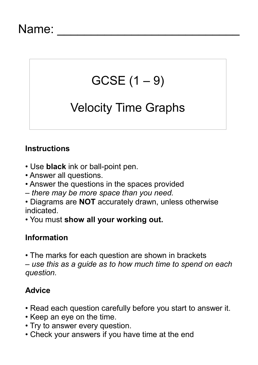### Name:

# $GCSE(1 - 9)$

## Velocity Time Graphs

#### **Instructions**

- Use **black** ink or ball-point pen.
- Answer all questions.
- Answer the questions in the spaces provided
- *there may be more space than you need.*
- Diagrams are **NOT** accurately drawn, unless otherwise indicated.
- You must **show all your working out.**

#### **Information**

• The marks for each question are shown in brackets *– use this as a guide as to how much time to spend on each question.*

#### **Advice**

- Read each question carefully before you start to answer it.
- Keep an eye on the time.
- Try to answer every question.
- Check your answers if you have time at the end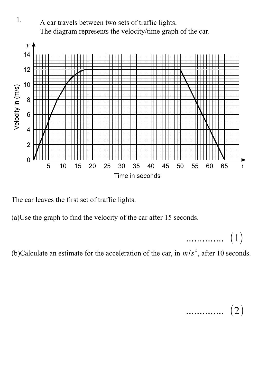

The car leaves the first set of traffic lights.

(a)Use the graph to find the velocity of the car after 15 seconds.

.............. (1)

(b)Calculate an estimate for the acceleration of the car, in  $m/s^2$ , after 10 seconds.

$$
\cdots \cdots \cdots \cdots \quad (2)
$$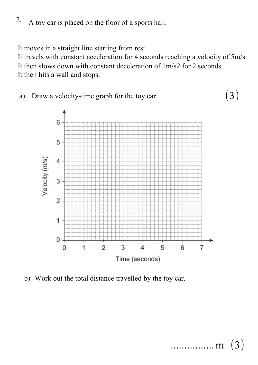A toy car is placed on the floor of a sports hall. 2.

It moves in a straight line starting from rest.

It travels with constant acceleration for 4 seconds reaching a velocity of 5m/s. It then slows down with constant deceleration of 1m/s2 for 2 seconds. It then hits a wall and stops.

a) Draw a velocity-time graph for the toy car.



b) Work out the total distance travelled by the toy car.

(3)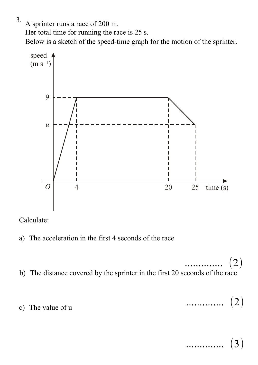3.

A sprinter runs a race of 200 m.

Her total time for running the race is 25 s.

Below is a sketch of the speed-time graph for the motion of the sprinter.



Calculate:

- a) The acceleration in the first 4 seconds of the race
- b) The distance covered by the sprinter in the first 20 seconds of the race  $(2)$
- c) The value of u

.............. (2)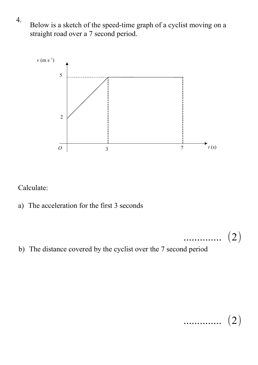Below is a sketch of the speed-time graph of a cyclist moving on a straight road over a 7 second period.



Calculate:

- a) The acceleration for the first 3 seconds
- b) The distance covered by the cyclist over the 7 second period

$$
\cdots \cdots \cdots \cdots \cdots \quad (2)
$$

.............. (2)

4.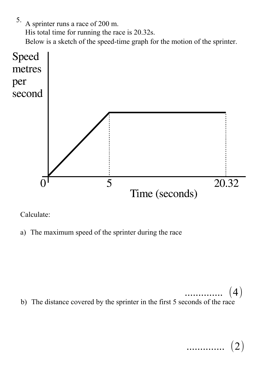A sprinter runs a race of 200 m. His total time for running the race is 20.32s. Below is a sketch of the speed-time graph for the motion of the sprinter. 5.



Calculate:

a) The maximum speed of the sprinter during the race

b) The distance covered by the sprinter in the first 5 seconds of the race  $\bf (4)$